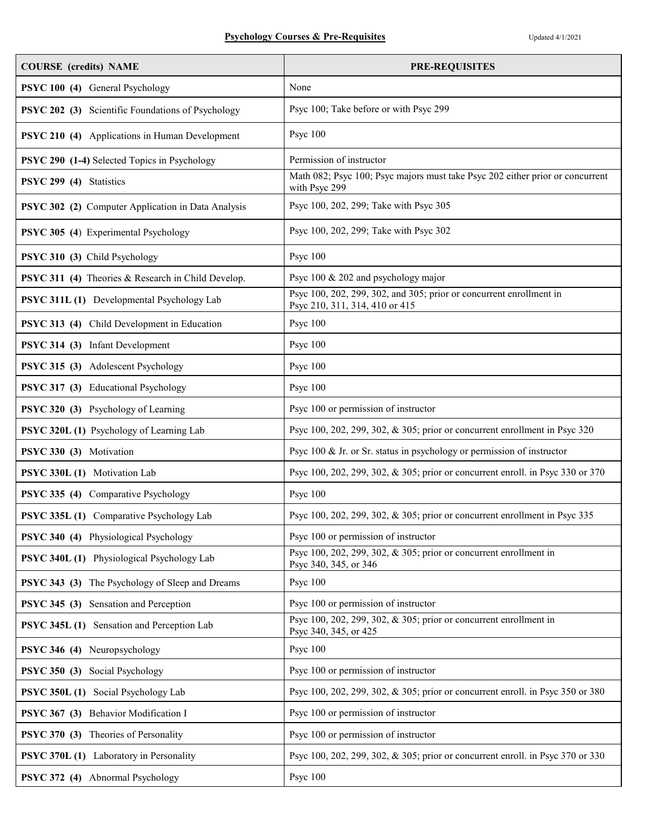| <b>COURSE</b> (credits) NAME                       | <b>PRE-REQUISITES</b>                                                                                 |
|----------------------------------------------------|-------------------------------------------------------------------------------------------------------|
| PSYC 100 (4) General Psychology                    | None                                                                                                  |
| PSYC 202 (3) Scientific Foundations of Psychology  | Psyc 100; Take before or with Psyc 299                                                                |
| PSYC 210 (4) Applications in Human Development     | Psyc 100                                                                                              |
| PSYC 290 (1-4) Selected Topics in Psychology       | Permission of instructor                                                                              |
| PSYC 299 (4) Statistics                            | Math 082; Psyc 100; Psyc majors must take Psyc 202 either prior or concurrent<br>with Psyc 299        |
| PSYC 302 (2) Computer Application in Data Analysis | Psyc 100, 202, 299; Take with Psyc 305                                                                |
| PSYC 305 (4) Experimental Psychology               | Psyc 100, 202, 299; Take with Psyc 302                                                                |
| PSYC 310 (3) Child Psychology                      | Psyc 100                                                                                              |
| PSYC 311 (4) Theories & Research in Child Develop. | Psyc 100 & 202 and psychology major                                                                   |
| PSYC 311L (1) Developmental Psychology Lab         | Psyc 100, 202, 299, 302, and 305; prior or concurrent enrollment in<br>Psyc 210, 311, 314, 410 or 415 |
| PSYC 313 (4) Child Development in Education        | Psyc 100                                                                                              |
| PSYC 314 (3) Infant Development                    | Psyc 100                                                                                              |
| PSYC 315 (3) Adolescent Psychology                 | Psyc 100                                                                                              |
| PSYC 317 (3) Educational Psychology                | Psyc 100                                                                                              |
| PSYC 320 (3) Psychology of Learning                | Psyc 100 or permission of instructor                                                                  |
| PSYC 320L (1) Psychology of Learning Lab           | Psyc 100, 202, 299, 302, & 305; prior or concurrent enrollment in Psyc 320                            |
| PSYC 330 (3) Motivation                            | Psyc 100 & Jr. or Sr. status in psychology or permission of instructor                                |
| PSYC 330L (1) Motivation Lab                       | Psyc 100, 202, 299, 302, & 305; prior or concurrent enroll. in Psyc 330 or 370                        |
| PSYC 335 (4) Comparative Psychology                | Psyc 100                                                                                              |
| PSYC 335L (1) Comparative Psychology Lab           | Psyc 100, 202, 299, 302, & 305; prior or concurrent enrollment in Psyc 335                            |
| PSYC 340 (4) Physiological Psychology              | Psyc 100 or permission of instructor                                                                  |
| PSYC 340L (1) Physiological Psychology Lab         | Psyc 100, 202, 299, 302, $\&$ 305; prior or concurrent enrollment in<br>Psyc 340, 345, or 346         |
| PSYC 343 (3) The Psychology of Sleep and Dreams    | Psyc 100                                                                                              |
| PSYC 345 (3) Sensation and Perception              | Psyc 100 or permission of instructor                                                                  |
| PSYC 345L (1) Sensation and Perception Lab         | Psyc 100, 202, 299, 302, & 305; prior or concurrent enrollment in<br>Psyc 340, 345, or 425            |
| PSYC 346 (4) Neuropsychology                       | Psyc 100                                                                                              |
| PSYC 350 (3) Social Psychology                     | Psyc 100 or permission of instructor                                                                  |
| PSYC 350L (1) Social Psychology Lab                | Psyc 100, 202, 299, 302, & 305; prior or concurrent enroll. in Psyc 350 or 380                        |
| PSYC 367 (3) Behavior Modification I               | Psyc 100 or permission of instructor                                                                  |
| PSYC 370 (3) Theories of Personality               | Psyc 100 or permission of instructor                                                                  |
| PSYC 370L (1) Laboratory in Personality            | Psyc 100, 202, 299, 302, & 305; prior or concurrent enroll. in Psyc 370 or 330                        |
| PSYC 372 (4) Abnormal Psychology                   | Psyc 100                                                                                              |